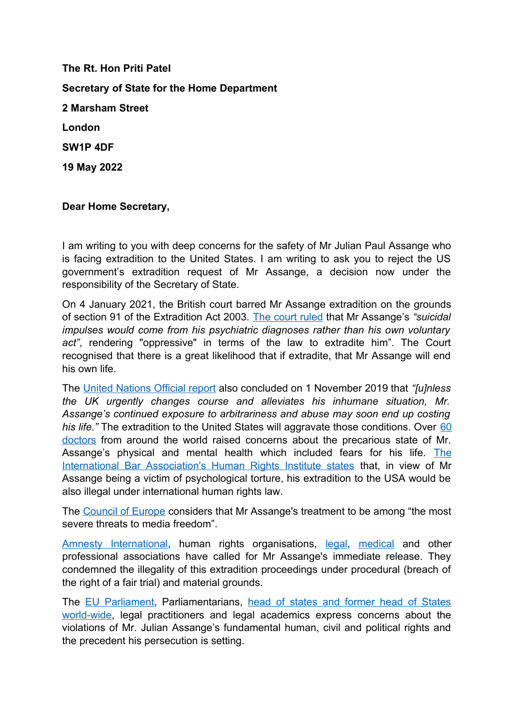**The Rt. Hon Priti Patel Secretary of State for the Home Department 2 Marsham Street London SW1P 4DF 19 May 2022**

**Dear Home Secretary,**

I am writing to you with deep concerns for the safety of Mr Julian Paul Assange who is facing extradition to the United States. I am writing to ask you to reject the US government's extradition request of Mr Assange, a decision now under the responsibility of the Secretary of State.

On 4 January 2021, the British court barred Mr Assange extradition on the grounds of section 91 of the Extradition Act 2003. [The court ruled](https://www.judiciary.uk/wp-content/uploads/2021/12/USA-v-Assange-judgment101221.pdf) that Mr Assange's *"suicidal impulses would come from his psychiatric diagnoses rather than his own voluntary act"*, rendering "oppressive" in terms of the law to extradite him". The Court recognised that there is a great likelihood that if extradite, that Mr Assange will end his own life.

The [United Nations Official report](https://spcommreports.ohchr.org/TMResultsBase/DownLoadPublicCommunicationFile?gId=24641) also concluded on 1 November 2019 that *"[u]nless the UK urgently changes course and alleviates his inhumane situation, Mr. Assange's continued exposure to arbitrariness and abuse may soon end up costing his life.*" The extradition to the United States will aggravate those conditions. Over [60](https://doctorsforassange.org/d4a-statement-12-12-2021/) [doctors](https://doctorsforassange.org/d4a-statement-12-12-2021/) from around the world raised concerns about the precarious state of Mr. Assange's physical and mental health which included fears for his life. [The](https://www.ibanet.org/article/C05C57EE-1FEE-47DC-99F9-26824208A750) [International Bar Association's Human Rights Institute states](https://www.ibanet.org/article/C05C57EE-1FEE-47DC-99F9-26824208A750) that, in view of Mr Assange being a victim of psychological torture, his extradition to the USA would be also illegal under international human rights law.

The [Council of Europe](https://go.coe.int/WIMX9) considers that Mr Assange's treatment to be among "the most severe threats to media freedom".

[Amnesty International](https://www.amnesty.org.uk/press-releases/uk-home-secretary-agreeing-assange-extradition-would-threaten-media-freedom), human rights organisations, [legal](https://www.lawyersforassange.org/en/open-letter.html), [medical](https://www.thelancet.com/journals/lancet/article/PIIS0140-67362031444-6/fulltext) and other professional associations have called for Mr Assange's immediate release. They condemned the illegality of this extradition proceedings under procedural (breach of the right of a fair trial) and material grounds.

The [EU Parliament,](https://www.europarl.europa.eu/doceo/document/B-8-2016-0544_EN.html) Parliamentarians, [head of states and former head of States](https://www.lawyersforassange.org/en/endorsements.html) [world-wide](https://www.lawyersforassange.org/en/endorsements.html), legal practitioners and legal academics express concerns about the violations of Mr. Julian Assange's fundamental human, civil and political rights and the precedent his persecution is setting.